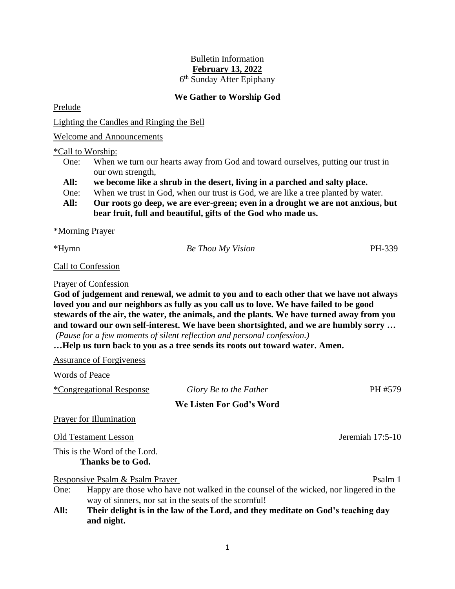## Bulletin Information **February 13, 2022**

6 th Sunday After Epiphany

## **We Gather to Worship God**

Prelude

Lighting the Candles and Ringing the Bell

Welcome and Announcements

\*Call to Worship:

- One: When we turn our hearts away from God and toward ourselves, putting our trust in our own strength,
- **All: we become like a shrub in the desert, living in a parched and salty place.**
- One: When we trust in God, when our trust is God, we are like a tree planted by water.
- **All: Our roots go deep, we are ever-green; even in a drought we are not anxious, but bear fruit, full and beautiful, gifts of the God who made us.**

\*Morning Prayer

| *Hymn | <b>Be Thou My Vision</b> | PH-339 |
|-------|--------------------------|--------|
|       |                          |        |

Call to Confession

Prayer of Confession

**God of judgement and renewal, we admit to you and to each other that we have not always loved you and our neighbors as fully as you call us to love. We have failed to be good stewards of the air, the water, the animals, and the plants. We have turned away from you and toward our own self-interest. We have been shortsighted, and we are humbly sorry …** *(Pause for a few moments of silent reflection and personal confession.)*

**…Help us turn back to you as a tree sends its roots out toward water. Amen.**

Assurance of Forgiveness

Words of Peace

|  | *Congregational Response |  |
|--|--------------------------|--|
|  |                          |  |

## **We Listen For God's Word**

 $Glory$  *Be to the Father* PH #579

Prayer for Illumination

Old Testament Lesson Jeremiah 17:5-10

This is the Word of the Lord. **Thanks be to God.**

Responsive Psalm & Psalm Prayer Psalm 1

- One: Happy are those who have not walked in the counsel of the wicked, nor lingered in the way of sinners, nor sat in the seats of the scornful!
- **All: Their delight is in the law of the Lord, and they meditate on God's teaching day and night.**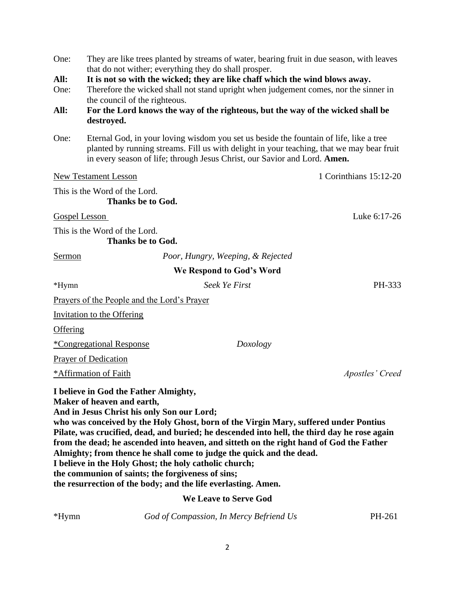| One:                 |                                                                                                                                                                                                                                  | They are like trees planted by streams of water, bearing fruit in due season, with leaves<br>that do not wither; everything they do shall prosper.                                                                                                                                                                                                                                                                                                       |                        |
|----------------------|----------------------------------------------------------------------------------------------------------------------------------------------------------------------------------------------------------------------------------|----------------------------------------------------------------------------------------------------------------------------------------------------------------------------------------------------------------------------------------------------------------------------------------------------------------------------------------------------------------------------------------------------------------------------------------------------------|------------------------|
| All:                 |                                                                                                                                                                                                                                  | It is not so with the wicked; they are like chaff which the wind blows away.                                                                                                                                                                                                                                                                                                                                                                             |                        |
| One:                 |                                                                                                                                                                                                                                  | Therefore the wicked shall not stand upright when judgement comes, nor the sinner in                                                                                                                                                                                                                                                                                                                                                                     |                        |
|                      | the council of the righteous.                                                                                                                                                                                                    |                                                                                                                                                                                                                                                                                                                                                                                                                                                          |                        |
| All:                 |                                                                                                                                                                                                                                  | For the Lord knows the way of the righteous, but the way of the wicked shall be                                                                                                                                                                                                                                                                                                                                                                          |                        |
|                      | destroyed.                                                                                                                                                                                                                       |                                                                                                                                                                                                                                                                                                                                                                                                                                                          |                        |
| One:                 |                                                                                                                                                                                                                                  | Eternal God, in your loving wisdom you set us beside the fountain of life, like a tree<br>planted by running streams. Fill us with delight in your teaching, that we may bear fruit<br>in every season of life; through Jesus Christ, our Savior and Lord. Amen.                                                                                                                                                                                         |                        |
|                      | <b>New Testament Lesson</b>                                                                                                                                                                                                      |                                                                                                                                                                                                                                                                                                                                                                                                                                                          | 1 Corinthians 15:12-20 |
|                      | This is the Word of the Lord.                                                                                                                                                                                                    |                                                                                                                                                                                                                                                                                                                                                                                                                                                          |                        |
|                      | <b>Thanks be to God.</b>                                                                                                                                                                                                         |                                                                                                                                                                                                                                                                                                                                                                                                                                                          |                        |
| <b>Gospel Lesson</b> |                                                                                                                                                                                                                                  |                                                                                                                                                                                                                                                                                                                                                                                                                                                          | Luke 6:17-26           |
|                      | This is the Word of the Lord.<br><b>Thanks be to God.</b>                                                                                                                                                                        |                                                                                                                                                                                                                                                                                                                                                                                                                                                          |                        |
| Sermon               |                                                                                                                                                                                                                                  |                                                                                                                                                                                                                                                                                                                                                                                                                                                          |                        |
|                      |                                                                                                                                                                                                                                  | Poor, Hungry, Weeping, & Rejected                                                                                                                                                                                                                                                                                                                                                                                                                        |                        |
|                      |                                                                                                                                                                                                                                  | We Respond to God's Word                                                                                                                                                                                                                                                                                                                                                                                                                                 |                        |
| *Hymn                |                                                                                                                                                                                                                                  | Seek Ye First                                                                                                                                                                                                                                                                                                                                                                                                                                            | PH-333                 |
|                      | Prayers of the People and the Lord's Prayer                                                                                                                                                                                      |                                                                                                                                                                                                                                                                                                                                                                                                                                                          |                        |
|                      | <b>Invitation to the Offering</b>                                                                                                                                                                                                |                                                                                                                                                                                                                                                                                                                                                                                                                                                          |                        |
| Offering             |                                                                                                                                                                                                                                  |                                                                                                                                                                                                                                                                                                                                                                                                                                                          |                        |
|                      | <i><b>*Congregational Response</b></i>                                                                                                                                                                                           | Doxology                                                                                                                                                                                                                                                                                                                                                                                                                                                 |                        |
|                      | <b>Prayer of Dedication</b>                                                                                                                                                                                                      |                                                                                                                                                                                                                                                                                                                                                                                                                                                          |                        |
|                      | *Affirmation of Faith                                                                                                                                                                                                            |                                                                                                                                                                                                                                                                                                                                                                                                                                                          | Apostles' Creed        |
|                      | I believe in God the Father Almighty,<br>Maker of heaven and earth,<br>And in Jesus Christ his only Son our Lord;<br>I believe in the Holy Ghost; the holy catholic church;<br>the communion of saints; the forgiveness of sins; | who was conceived by the Holy Ghost, born of the Virgin Mary, suffered under Pontius<br>Pilate, was crucified, dead, and buried; he descended into hell, the third day he rose again<br>from the dead; he ascended into heaven, and sitteth on the right hand of God the Father<br>Almighty; from thence he shall come to judge the quick and the dead.<br>the resurrection of the body; and the life everlasting. Amen.<br><b>We Leave to Serve God</b> |                        |
|                      |                                                                                                                                                                                                                                  |                                                                                                                                                                                                                                                                                                                                                                                                                                                          |                        |

\*Hymn *God of Compassion, In Mercy Befriend Us* PH-261